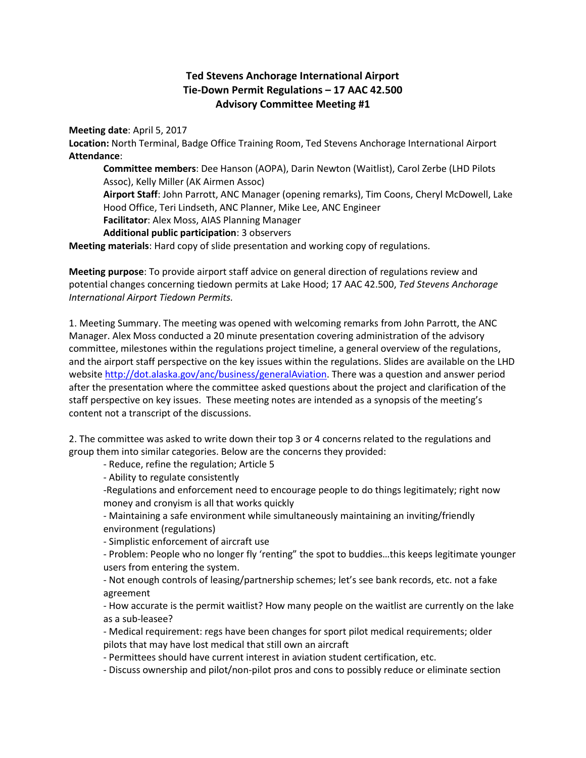## **Ted Stevens Anchorage International Airport Tie-Down Permit Regulations – 17 AAC 42.500 Advisory Committee Meeting #1**

**Meeting date**: April 5, 2017

**Location:** North Terminal, Badge Office Training Room, Ted Stevens Anchorage International Airport **Attendance**:

**Committee members**: Dee Hanson (AOPA), Darin Newton (Waitlist), Carol Zerbe (LHD Pilots Assoc), Kelly Miller (AK Airmen Assoc) **Airport Staff**: John Parrott, ANC Manager (opening remarks), Tim Coons, Cheryl McDowell, Lake Hood Office, Teri Lindseth, ANC Planner, Mike Lee, ANC Engineer **Facilitator**: Alex Moss, AIAS Planning Manager **Additional public participation**: 3 observers

**Meeting materials**: Hard copy of slide presentation and working copy of regulations.

**Meeting purpose**: To provide airport staff advice on general direction of regulations review and potential changes concerning tiedown permits at Lake Hood; 17 AAC 42.500, *Ted Stevens Anchorage International Airport Tiedown Permits.*

1. Meeting Summary. The meeting was opened with welcoming remarks from John Parrott, the ANC Manager. Alex Moss conducted a 20 minute presentation covering administration of the advisory committee, milestones within the regulations project timeline, a general overview of the regulations, and the airport staff perspective on the key issues within the regulations. Slides are available on the LHD websit[e http://dot.alaska.gov/anc/business/generalAviation.](http://dot.alaska.gov/anc/business/generalAviation) There was a question and answer period after the presentation where the committee asked questions about the project and clarification of the staff perspective on key issues. These meeting notes are intended as a synopsis of the meeting's content not a transcript of the discussions.

2. The committee was asked to write down their top 3 or 4 concerns related to the regulations and group them into similar categories. Below are the concerns they provided:

- Reduce, refine the regulation; Article 5

- Ability to regulate consistently

-Regulations and enforcement need to encourage people to do things legitimately; right now money and cronyism is all that works quickly

- Maintaining a safe environment while simultaneously maintaining an inviting/friendly environment (regulations)

- Simplistic enforcement of aircraft use

- Problem: People who no longer fly 'renting" the spot to buddies…this keeps legitimate younger users from entering the system.

- Not enough controls of leasing/partnership schemes; let's see bank records, etc. not a fake agreement

- How accurate is the permit waitlist? How many people on the waitlist are currently on the lake as a sub-leasee?

- Medical requirement: regs have been changes for sport pilot medical requirements; older pilots that may have lost medical that still own an aircraft

- Permittees should have current interest in aviation student certification, etc.

- Discuss ownership and pilot/non-pilot pros and cons to possibly reduce or eliminate section